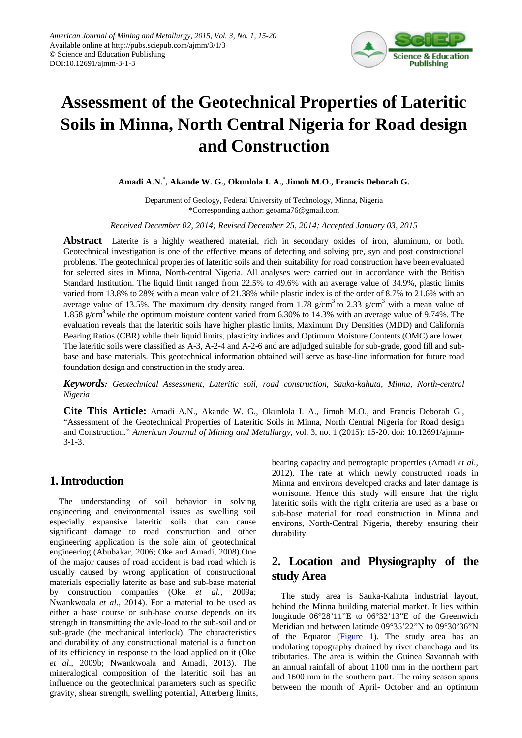

# **Assessment of the Geotechnical Properties of Lateritic Soils in Minna, North Central Nigeria for Road design and Construction**

**Amadi A.N.\* , Akande W. G., Okunlola I. A., Jimoh M.O., Francis Deborah G.**

Department of Geology, Federal University of Technology, Minna, Nigeria \*Corresponding author: geoama76@gmail.com

*Received December 02, 2014; Revised December 25, 2014; Accepted January 03, 2015*

**Abstract** Laterite is a highly weathered material, rich in secondary oxides of iron, aluminum, or both. Geotechnical investigation is one of the effective means of detecting and solving pre, syn and post constructional problems. The geotechnical properties of lateritic soils and their suitability for road construction have been evaluated for selected sites in Minna, North-central Nigeria. All analyses were carried out in accordance with the British Standard Institution. The liquid limit ranged from 22.5% to 49.6% with an average value of 34.9%, plastic limits varied from 13.8% to 28% with a mean value of 21.38% while plastic index is of the order of 8.7% to 21.6% with an average value of 13.5%. The maximum dry density ranged from 1.78 g/cm<sup>3</sup> to 2.33 g/cm<sup>3</sup> with a mean value of 1.858 g/cm3 while the optimum moisture content varied from 6.30% to 14.3% with an average value of 9.74%. The evaluation reveals that the lateritic soils have higher plastic limits, Maximum Dry Densities (MDD) and California Bearing Ratios (CBR) while their liquid limits, plasticity indices and Optimum Moisture Contents (OMC) are lower. The lateritic soils were classified as A-3, A-2-4 and A-2-6 and are adjudged suitable for sub-grade, good fill and subbase and base materials. This geotechnical information obtained will serve as base-line information for future road foundation design and construction in the study area.

*Keywords: Geotechnical Assessment, Lateritic soil, road construction, Sauka-kahuta, Minna, North-central Nigeria*

**Cite This Article:** Amadi A.N., Akande W. G., Okunlola I. A., Jimoh M.O., and Francis Deborah G., "Assessment of the Geotechnical Properties of Lateritic Soils in Minna, North Central Nigeria for Road design and Construction." *American Journal of Mining and Metallurgy*, vol. 3, no. 1 (2015): 15-20. doi: 10.12691/ajmm-3-1-3.

## **1. Introduction**

The understanding of soil behavior in solving engineering and environmental issues as swelling soil especially expansive lateritic soils that can cause significant damage to road construction and other engineering application is the sole aim of geotechnical engineering (Abubakar, 2006; Oke and Amadi, 2008).One of the major causes of road accident is bad road which is usually caused by wrong application of constructional materials especially laterite as base and sub-base material by construction companies (Oke *et al.,* 2009a; Nwankwoala *et al*., 2014). For a material to be used as either a base course or sub-base course depends on its strength in transmitting the axle-load to the sub-soil and or sub-grade (the mechanical interlock). The characteristics and durability of any constructional material is a function of its efficiency in response to the load applied on it (Oke *et al*., 2009b; Nwankwoala and Amadi, 2013). The mineralogical composition of the lateritic soil has an influence on the geotechnical parameters such as specific gravity, shear strength, swelling potential, Atterberg limits, bearing capacity and petrograpic properties (Amadi *et al*., 2012). The rate at which newly constructed roads in Minna and environs developed cracks and later damage is worrisome. Hence this study will ensure that the right lateritic soils with the right criteria are used as a base or sub-base material for road construction in Minna and environs, North-Central Nigeria, thereby ensuring their durability.

# **2. Location and Physiography of the study Area**

The study area is Sauka-Kahuta industrial layout, behind the Minna building material market. It lies within longitude 06°28'11"E to 06°32'13"E of the Greenwich Meridian and between latitude 09°35'22"N to 09°30'36"N of the Equator [\(Figure 1\)](#page-1-0). The study area has an undulating topography drained by river chanchaga and its tributaries. The area is within the Guinea Savannah with an annual rainfall of about 1100 mm in the northern part and 1600 mm in the southern part. The rainy season spans between the month of April- October and an optimum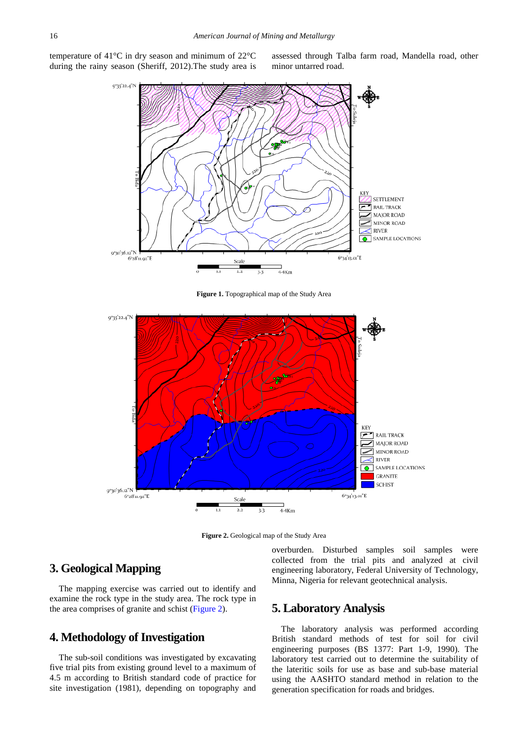<span id="page-1-0"></span>temperature of 41°C in dry season and minimum of 22°C during the rainy season (Sheriff, 2012).The study area is

assessed through Talba farm road, Mandella road, other minor untarred road.



**Figure 1.** Topographical map of the Study Area

<span id="page-1-1"></span>

**Figure 2.** Geological map of the Study Area

## **3. Geological Mapping**

The mapping exercise was carried out to identify and examine the rock type in the study area. The rock type in the area comprises of granite and schist [\(Figure 2\)](#page-1-1).

# **4. Methodology of Investigation**

The sub-soil conditions was investigated by excavating five trial pits from existing ground level to a maximum of 4.5 m according to British standard code of practice for site investigation (1981), depending on topography and overburden. Disturbed samples soil samples were collected from the trial pits and analyzed at civil engineering laboratory, Federal University of Technology, Minna, Nigeria for relevant geotechnical analysis.

#### **5. Laboratory Analysis**

The laboratory analysis was performed according British standard methods of test for soil for civil engineering purposes (BS 1377: Part 1-9, 1990). The laboratory test carried out to determine the suitability of the lateritic soils for use as base and sub-base material using the AASHTO standard method in relation to the generation specification for roads and bridges.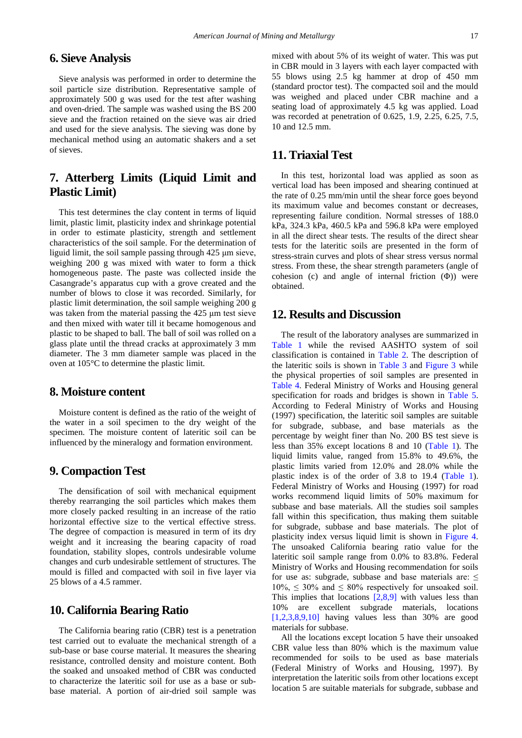## **6. Sieve Analysis**

Sieve analysis was performed in order to determine the soil particle size distribution. Representative sample of approximately 500 g was used for the test after washing and oven-dried. The sample was washed using the BS 200 sieve and the fraction retained on the sieve was air dried and used for the sieve analysis. The sieving was done by mechanical method using an automatic shakers and a set of sieves.

# **7. Atterberg Limits (Liquid Limit and Plastic Limit)**

This test determines the clay content in terms of liquid limit, plastic limit, plasticity index and shrinkage potential in order to estimate plasticity, strength and settlement characteristics of the soil sample. For the determination of liguid limit, the soil sample passing through 425 μm sieve, weighing 200 g was mixed with water to form a thick homogeneous paste. The paste was collected inside the Casangrade's apparatus cup with a grove created and the number of blows to close it was recorded. Similarly, for plastic limit determination, the soil sample weighing 200 g was taken from the material passing the 425 μm test sieve and then mixed with water till it became homogenous and plastic to be shaped to ball. The ball of soil was rolled on a glass plate until the thread cracks at approximately 3 mm diameter. The 3 mm diameter sample was placed in the oven at 105°C to determine the plastic limit.

#### **8. Moisture content**

Moisture content is defined as the ratio of the weight of the water in a soil specimen to the dry weight of the specimen. The moisture content of lateritic soil can be influenced by the mineralogy and formation environment.

#### **9. Compaction Test**

The densification of soil with mechanical equipment thereby rearranging the soil particles which makes them more closely packed resulting in an increase of the ratio horizontal effective size to the vertical effective stress. The degree of compaction is measured in term of its dry weight and it increasing the bearing capacity of road foundation, stability slopes, controls undesirable volume changes and curb undesirable settlement of structures. The mould is filled and compacted with soil in five layer via 25 blows of a 4.5 rammer.

#### **10. California Bearing Ratio**

The California bearing ratio (CBR) test is a penetration test carried out to evaluate the mechanical strength of a sub-base or base course material. It measures the shearing resistance, controlled density and moisture content. Both the soaked and unsoaked method of CBR was conducted to characterize the lateritic soil for use as a base or subbase material. A portion of air-dried soil sample was mixed with about 5% of its weight of water. This was put in CBR mould in 3 layers with each layer compacted with 55 blows using 2.5 kg hammer at drop of 450 mm (standard proctor test). The compacted soil and the mould was weighed and placed under CBR machine and a seating load of approximately 4.5 kg was applied. Load was recorded at penetration of 0.625, 1.9, 2.25, 6.25, 7.5, 10 and 12.5 mm.

## **11. Triaxial Test**

In this test, horizontal load was applied as soon as vertical load has been imposed and shearing continued at the rate of 0.25 mm/min until the shear force goes beyond its maximum value and becomes constant or decreases, representing failure condition. Normal stresses of 188.0 kPa, 324.3 kPa, 460.5 kPa and 596.8 kPa were employed in all the direct shear tests. The results of the direct shear tests for the lateritic soils are presented in the form of stress-strain curves and plots of shear stress versus normal stress. From these, the shear strength parameters (angle of cohesion (c) and angle of internal friction (Φ)) were obtained.

#### **12. Results and Discussion**

The result of the laboratory analyses are summarized in [Table 1](#page-3-0) while the revised AASHTO system of soil classification is contained in [Table 2.](#page-3-1) The description of the lateritic soils is shown in [Table 3](#page-3-2) and [Figure 3](#page-4-0) while the physical properties of soil samples are presented in [Table 4.](#page-3-3) Federal Ministry of Works and Housing general specification for roads and bridges is shown in [Table 5.](#page-4-1) According to Federal Ministry of Works and Housing (1997) specification, the lateritic soil samples are suitable for subgrade, subbase, and base materials as the percentage by weight finer than No. 200 BS test sieve is less than 35% except locations 8 and 10 [\(Table 1\)](#page-3-0). The liquid limits value, ranged from 15.8% to 49.6%, the plastic limits varied from 12.0% and 28.0% while the plastic index is of the order of 3.8 to 19.4 [\(Table 1\)](#page-3-0). Federal Ministry of Works and Housing (1997) for road works recommend liquid limits of 50% maximum for subbase and base materials. All the studies soil samples fall within this specification, thus making them suitable for subgrade, subbase and base materials. The plot of plasticity index versus liquid limit is shown in [Figure 4.](#page-4-2) The unsoaked California bearing ratio value for the lateritic soil sample range from 0.0% to 83.8%. Federal Ministry of Works and Housing recommendation for soils for use as: subgrade, subbase and base materials are:  $\leq$  $10\% \leq 30\%$  and  $\leq 80\%$  respectively for unsoaked soil. This implies that locations  $[2,8,9]$  with values less than 10% are excellent subgrade materials, locations  $[1,2,3,8,9,10]$  having values less than 30% are good materials for subbase.

All the locations except location 5 have their unsoaked CBR value less than 80% which is the maximum value recommended for soils to be used as base materials (Federal Ministry of Works and Housing, 1997). By interpretation the lateritic soils from other locations except location 5 are suitable materials for subgrade, subbase and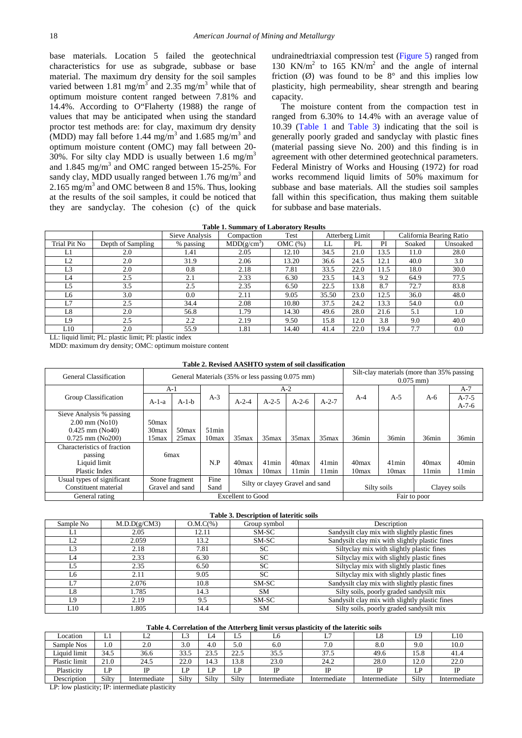base materials. Location 5 failed the geotechnical characteristics for use as subgrade, subbase or base material. The maximum dry density for the soil samples varied between 1.81 mg/m<sup>3</sup> and 2.35 mg/m<sup>3</sup> while that of optimum moisture content ranged between 7.81% and 14.4%. According to O"Flaherty (1988) the range of values that may be anticipated when using the standard proctor test methods are: for clay, maximum dry density (MDD) may fall before 1.44 mg/m<sup>3</sup> and 1.685 mg/m<sup>3</sup> and optimum moisture content (OMC) may fall between 20- 30%. For silty clay MDD is usually between 1.6 mg/m<sup>3</sup> and 1.845 mg/m3 and OMC ranged between 15-25%. For sandy clay, MDD usually ranged between  $1.76$  mg/m<sup>3</sup> and  $2.165$  mg/m<sup>3</sup> and OMC between 8 and 15%. Thus, looking at the results of the soil samples, it could be noticed that they are sandyclay. The cohesion (c) of the quick

undrainedtriaxial compression test [\(Figure 5\)](#page-4-3) ranged from 130 KN/ $m<sup>2</sup>$  to 165 KN/ $m<sup>2</sup>$  and the angle of internal friction  $(\emptyset)$  was found to be 8° and this implies low plasticity, high permeability, shear strength and bearing capacity.

The moisture content from the compaction test in ranged from 6.30% to 14.4% with an average value of 10.39 [\(Table 1](#page-3-0) and [Table 3\)](#page-3-2) indicating that the soil is generally poorly graded and sandyclay with plastic fines (material passing sieve No. 200) and this finding is in agreement with other determined geotechnical parameters. Federal Ministry of Works and Housing (1972) for road works recommend liquid limits of 50% maximum for subbase and base materials. All the studies soil samples fall within this specification, thus making them suitable for subbase and base materials.

|  | <b>Table 1. Summary of Laboratory Results</b> |  |  |  |
|--|-----------------------------------------------|--|--|--|
|--|-----------------------------------------------|--|--|--|

<span id="page-3-0"></span>

|                |                   | Sieve Analysis | Compaction              | Test   | Atterberg Limit |      |      | California Bearing Ratio |          |  |
|----------------|-------------------|----------------|-------------------------|--------|-----------------|------|------|--------------------------|----------|--|
| Trial Pit No   | Depth of Sampling | % passing      | MDD(g/cm <sup>3</sup> ) | OMC(%) | LL              | PL   | PI   | Soaked                   | Unsoaked |  |
| L1             | 2.0               | 1.41           | 2.05                    | 12.10  | 34.5            | 21.0 | 13.5 | 11.0                     | 28.0     |  |
| L2             | 2.0               | 31.9           | 2.06                    | 13.20  | 36.6            | 24.5 | 12.1 | 40.0                     | 3.0      |  |
| L <sub>3</sub> | 2.0               | 0.8            | 2.18                    | 7.81   | 33.5            | 22.0 | 11.5 | 18.0                     | 30.0     |  |
| L4             | 2.5               | 2.1            | 2.33                    | 6.30   | 23.5            | 14.3 | 9.2  | 64.9                     | 77.5     |  |
| L5             | 3.5               | 2.5            | 2.35                    | 6.50   | 22.5            | 13.8 | 8.7  | 72.7                     | 83.8     |  |
| L6             | 3.0               | 0.0            | 2.11                    | 9.05   | 35.50           | 23.0 | 12.5 | 36.0                     | 48.0     |  |
| L7             | 2.5               | 34.4           | 2.08                    | 10.80  | 37.5            | 24.2 | 13.3 | 54.0                     | 0.0      |  |
| L8             | 2.0               | 56.8           | 1.79                    | 14.30  | 49.6            | 28.0 | 21.6 | 5.1                      | 1.0      |  |
| L9             | 2.5               | 2.2            | 2.19                    | 9.50   | 15.8            | 12.0 | 3.8  | 9.0                      | 40.0     |  |
| L10            | 2.0               | 55.9           | 1.81                    | 14.40  | 41.4            | 22.0 | 19.4 | 7.7                      | 0.0      |  |

LL: liquid limit; PL: plastic limit; PI: plastic index

MDD: maximum dry density; OMC: optimum moisture content

|  | Table 2. Revised AASHTO system of soil classification |  |  |  |
|--|-------------------------------------------------------|--|--|--|
|--|-------------------------------------------------------|--|--|--|

<span id="page-3-1"></span>

| General Classification                       |                   | Silt-clay materials (more than 35% passing)<br>General Materials (35% or less passing 0.075 mm)<br>$0.075$ mm) |                   |                                 |                   |                   |                   |             |                   |                   |                    |  |
|----------------------------------------------|-------------------|----------------------------------------------------------------------------------------------------------------|-------------------|---------------------------------|-------------------|-------------------|-------------------|-------------|-------------------|-------------------|--------------------|--|
|                                              | A-1               |                                                                                                                |                   |                                 |                   | $A-2$             |                   |             |                   |                   | $A-7$              |  |
| Group Classification                         | $A-1-a$           | $A-1-h$                                                                                                        | $A-3$             | $A - 2 - 4$                     | $A - 2 - 5$       | $A-2-6$           | $A - 2 - 7$       | $A-4$       | $A-5$             | A- $6$            | $A-7-5$<br>$A-7-6$ |  |
| Sieve Analysis % passing<br>$2.00$ mm (No10) | 50 <sub>max</sub> |                                                                                                                |                   |                                 |                   |                   |                   |             |                   |                   |                    |  |
| $0.425$ mm (No40)                            | 30 <sub>max</sub> | 50 <sub>max</sub>                                                                                              | $51\text{min}$    |                                 |                   |                   |                   |             |                   |                   |                    |  |
| $0.725$ mm (No200)                           | 15 <sub>max</sub> | $25$ max                                                                                                       | 10 <sub>max</sub> | 35 <sub>max</sub>               | 35 <sub>max</sub> | 35 <sub>max</sub> | 35 <sub>max</sub> | 36min       | 36min             | 36min             | 36min              |  |
| Characteristics of fraction                  |                   |                                                                                                                |                   |                                 |                   |                   |                   |             |                   |                   |                    |  |
| passing                                      |                   | 6 <sub>max</sub>                                                                                               |                   |                                 |                   |                   |                   |             |                   |                   |                    |  |
| Liquid limit                                 |                   |                                                                                                                | N.P               | 40 <sub>max</sub>               | $41$ min          | 40 <sub>max</sub> | $41$ min          | 40max       | $41$ min          | 40 <sub>max</sub> | 40 <sub>min</sub>  |  |
| Plastic Index                                |                   |                                                                                                                |                   | 10max                           | 10max             | 11min             | 11min             | 10max       | 10 <sub>max</sub> | 11min             | 11min              |  |
| Usual types of significant                   |                   | Stone fragment                                                                                                 | Fine              |                                 |                   |                   |                   |             |                   |                   |                    |  |
| Constituent material                         |                   | Gravel and sand                                                                                                | Sand              | Silty or clayey Gravel and sand |                   |                   |                   | Silty soils |                   | Clayey soils      |                    |  |
| General rating                               |                   |                                                                                                                |                   | <b>Excellent</b> to Good        |                   |                   |                   |             | Fair to poor      |                   |                    |  |

#### **Table 3. Description of lateritic soils**

<span id="page-3-2"></span>

| Sample No | M.D.D(g/CM3) | $O.M.C(\%)$ | Group symbol | Description                                    |
|-----------|--------------|-------------|--------------|------------------------------------------------|
| L1        | 2.05         | 12.11       | SM-SC        | Sandysilt clay mix with slightly plastic fines |
| L2        | 2.059        | 13.2        | SM-SC        | Sandysilt clay mix with slightly plastic fines |
| L3        | 2.18         | 7.81        | SC.          | Siltyclay mix with slightly plastic fines      |
| ΙA        | 2.33         | 6.30        | <b>SC</b>    | Siltyclay mix with slightly plastic fines      |
| L5        | 2.35         | 6.50        | <b>SC</b>    | Siltyclay mix with slightly plastic fines      |
| Lб        | 2.11         | 9.05        | SC.          | Siltyclay mix with slightly plastic fines      |
| L7        | 2.076        | 10.8        | SM-SC        | Sandysilt clay mix with slightly plastic fines |
| L8        | 1.785        | 14.3        | <b>SM</b>    | Silty soils, poorly graded sandysilt mix       |
| L9        | 2.19         | 9.5         | SM-SC        | Sandysilt clay mix with slightly plastic fines |
| L10       | 1.805        | 14.4        | <b>SM</b>    | Silty soils, poorly graded sandysilt mix       |

#### **Table 4. Correlation of the Atterberg limit versus plasticity of the lateritic soils**

<span id="page-3-3"></span>

| Location      | ⊥⊥    | ∸            | $\sqrt{2}$<br>Ló | ĹÁ    | نت            | ⊥∪           | L7           |              | ТΩ<br>ᅿ            | L10          |
|---------------|-------|--------------|------------------|-------|---------------|--------------|--------------|--------------|--------------------|--------------|
| Sample Nos    | 1.0   | 2.0          | 3.0              | 4.0   | 5.0           | 6.0          | 7.0          | 8.0          | 9.0                | 10.0         |
| Liquid limit  | 34.5  | 36.6         | 33.5             | 23.5  | 225<br>ن کا ک | 35.5         | 37.5         | 49.6         | 15.8               | 41.4         |
| Plastic limit | 21.0  | 24.5         | 22.0             | 14.3  | 13.8          | 23.0         | 24.2         | 28.0         | 12.0               | 22.0         |
| Plasticity    | LP    | m            | D<br>. .         | LP    | īЮ<br>≖       | <b>TD</b>    | ΙP           |              | ſЮ<br>$\mathbf{L}$ |              |
| Description   | Silty | Intermediate | Siltv            | Silty | Silty         | Intermediate | Intermediate | Intermediate | Siltv              | Intermediate |

LP: low plasticity; IP: intermediate plasticity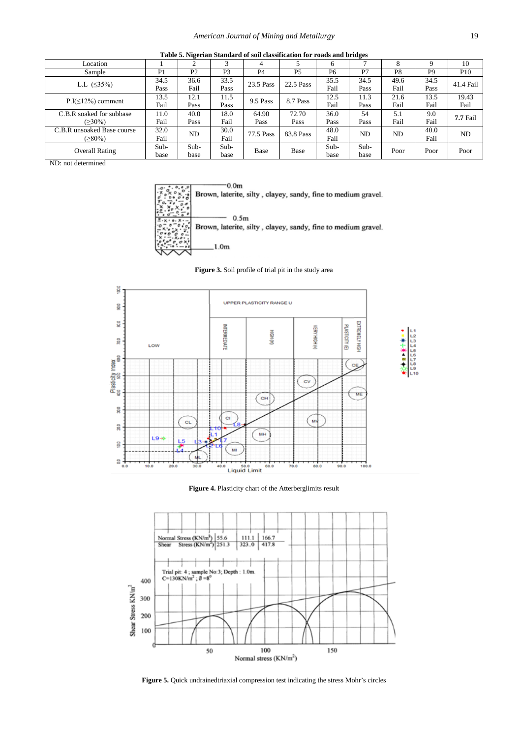<span id="page-4-1"></span>

| Table Struggland Danigat a of 50n classification for Toags and bridges |                |                |                |                |           |        |        |      |                |                 |  |
|------------------------------------------------------------------------|----------------|----------------|----------------|----------------|-----------|--------|--------|------|----------------|-----------------|--|
| Location                                                               |                |                |                |                |           |        |        | Ω    |                | 10              |  |
| Sample                                                                 | P <sub>1</sub> | P <sub>2</sub> | P <sub>3</sub> | P <sub>4</sub> | <b>P5</b> | P6     | P7     | P8   | P <sub>9</sub> | P <sub>10</sub> |  |
| L.L $( \leq 35\%)$                                                     | 34.5           | 36.6           | 33.5           | 23.5 Pass      | 22.5 Pass | 35.5   | 34.5   | 49.6 | 34.5           | 41.4 Fail       |  |
|                                                                        | Pass           | Fail           | Pass           |                |           | Fail   | Pass   | Fail | Pass           |                 |  |
| $P.I(\leq 12\%)$ comment                                               | 13.5           | 12.1           | 11.5           | 9.5 Pass       | 8.7 Pass  | 12.5   | 11.3   | 21.6 | 13.5           | 19.43           |  |
|                                                                        | Fail           | Pass           | Pass           |                |           | Fail   | Pass   | Fail | Fail           | Fail            |  |
| C.B.R soaked for subbase                                               | 11.0           | 40.0           | 18.0           | 64.90          | 72.70     | 36.0   | 54     | 5.1  | 9.0            | 7.7 Fail        |  |
| $( \geq 30\%)$                                                         | Fail           | Pass           | Fail           | Pass           | Pass      | Pass   | Pass   | Fail | Fail           |                 |  |
| C.B.R unsoaked Base course                                             | 32.0           | ND             | 30.0           | 77.5 Pass      | 83.8 Pass | 48.0   | ND     | ND   | 40.0           | ND              |  |
| (≥80%)                                                                 | Fail           |                | Fail           |                |           | Fail   |        |      | Fail           |                 |  |
| <b>Overall Rating</b>                                                  | $Sub-$         | $Sub-$         | $Sub-$         | Base           | Base      | $Sub-$ | $Sub-$ | Poor | Poor           | Poor            |  |
|                                                                        | base           | base           | base           |                |           | base   | base   |      |                |                 |  |

**Table 5. Nigerian Standard of soil classification for roads and bridges** 

<span id="page-4-0"></span>ND: not determined



**Figure 3.** Soil profile of trial pit in the study area

<span id="page-4-2"></span>

**Figure 4.** Plasticity chart of the Atterberglimits result

<span id="page-4-3"></span>

**Figure 5.** Quick undrainedtriaxial compression test indicating the stress Mohr's circles